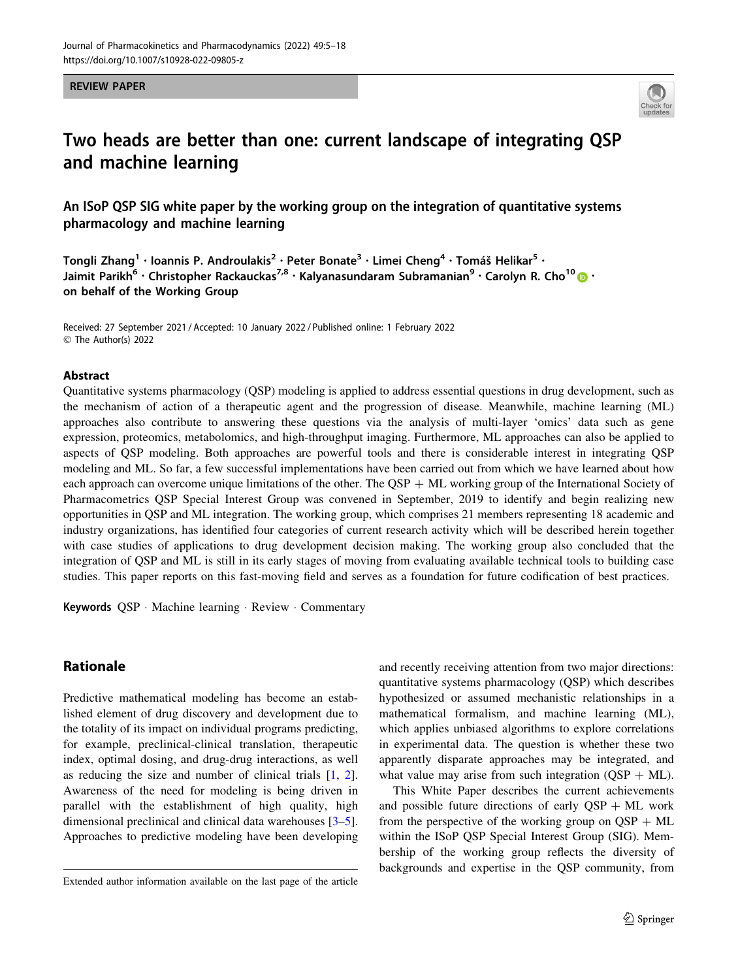#### REVIEW PAPER



# Two heads are better than one: current landscape of integrating QSP and machine learning

An ISoP QSP SIG white paper by the working group on the integration of quantitative systems pharmacology and machine learning

Tongli Zhang<sup>1</sup> · Ioannis P. Androulakis<sup>2</sup> · Peter Bonate<sup>3</sup> · Limei Cheng<sup>4</sup> · Tomáš Helikar<sup>5</sup> · Jaimit Parikh<sup>6</sup> • Christopher Rackauckas<sup>7,8</sup> • Kalyanasundaram Subramanian<sup>9</sup> • Carolyn R. Cho<sup>1[0](http://orcid.org/0000-0002-6480-0889)</sup> D • on behalf of the Working Group

Received: 27 September 2021 / Accepted: 10 January 2022 / Published online: 1 February 2022 © The Author(s) 2022

#### Abstract

Quantitative systems pharmacology (QSP) modeling is applied to address essential questions in drug development, such as the mechanism of action of a therapeutic agent and the progression of disease. Meanwhile, machine learning (ML) approaches also contribute to answering these questions via the analysis of multi-layer 'omics' data such as gene expression, proteomics, metabolomics, and high-throughput imaging. Furthermore, ML approaches can also be applied to aspects of QSP modeling. Both approaches are powerful tools and there is considerable interest in integrating QSP modeling and ML. So far, a few successful implementations have been carried out from which we have learned about how each approach can overcome unique limitations of the other. The QSP  $+$  ML working group of the International Society of Pharmacometrics QSP Special Interest Group was convened in September, 2019 to identify and begin realizing new opportunities in QSP and ML integration. The working group, which comprises 21 members representing 18 academic and industry organizations, has identified four categories of current research activity which will be described herein together with case studies of applications to drug development decision making. The working group also concluded that the integration of QSP and ML is still in its early stages of moving from evaluating available technical tools to building case studies. This paper reports on this fast-moving field and serves as a foundation for future codification of best practices.

Keywords QSP · Machine learning · Review · Commentary

# Rationale

Predictive mathematical modeling has become an established element of drug discovery and development due to the totality of its impact on individual programs predicting, for example, preclinical-clinical translation, therapeutic index, optimal dosing, and drug-drug interactions, as well as reducing the size and number of clinical trials [[1,](#page-10-0) [2](#page-10-0)]. Awareness of the need for modeling is being driven in parallel with the establishment of high quality, high dimensional preclinical and clinical data warehouses [\[3–5](#page-10-0)]. Approaches to predictive modeling have been developing and recently receiving attention from two major directions: quantitative systems pharmacology (QSP) which describes hypothesized or assumed mechanistic relationships in a mathematical formalism, and machine learning (ML), which applies unbiased algorithms to explore correlations in experimental data. The question is whether these two apparently disparate approaches may be integrated, and what value may arise from such integration  $(QSP + ML)$ .

This White Paper describes the current achievements and possible future directions of early  $QSP + ML$  work from the perspective of the working group on  $\text{QSP} + \text{ML}$ within the ISoP QSP Special Interest Group (SIG). Membership of the working group reflects the diversity of backgrounds and expertise in the QSP community, from

Extended author information available on the last page of the article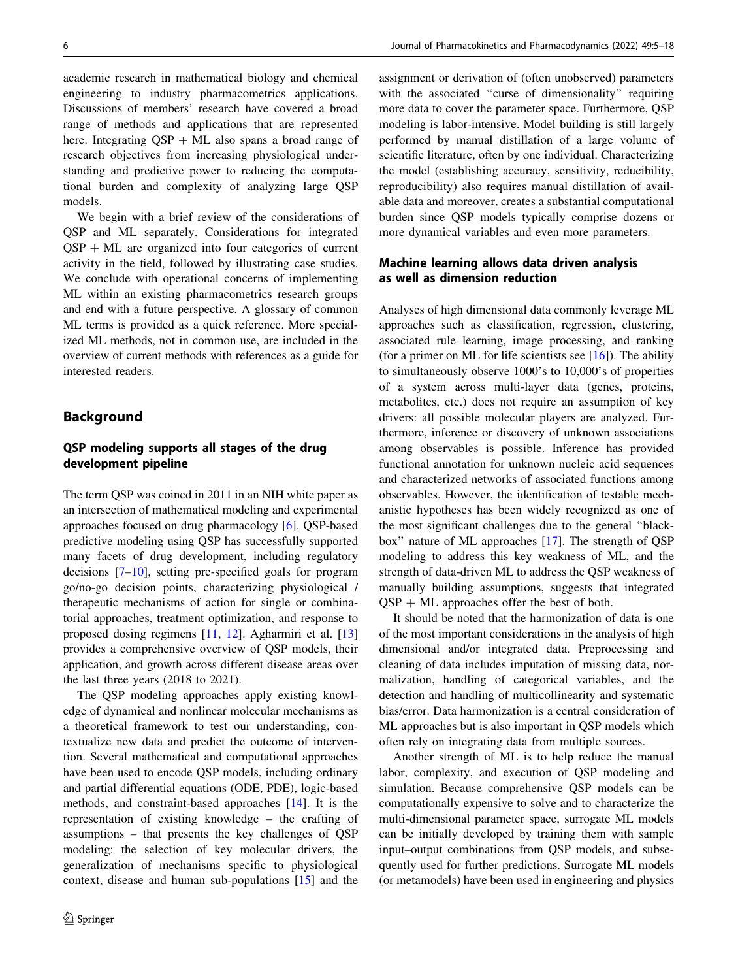academic research in mathematical biology and chemical engineering to industry pharmacometrics applications. Discussions of members' research have covered a broad range of methods and applications that are represented here. Integrating  $OSP + ML$  also spans a broad range of research objectives from increasing physiological understanding and predictive power to reducing the computational burden and complexity of analyzing large QSP models.

We begin with a brief review of the considerations of QSP and ML separately. Considerations for integrated  $QSP + ML$  are organized into four categories of current activity in the field, followed by illustrating case studies. We conclude with operational concerns of implementing ML within an existing pharmacometrics research groups and end with a future perspective. A glossary of common ML terms is provided as a quick reference. More specialized ML methods, not in common use, are included in the overview of current methods with references as a guide for interested readers.

# Background

# QSP modeling supports all stages of the drug development pipeline

The term QSP was coined in 2011 in an NIH white paper as an intersection of mathematical modeling and experimental approaches focused on drug pharmacology [[6](#page-10-0)]. QSP-based predictive modeling using QSP has successfully supported many facets of drug development, including regulatory decisions [\[7–10\]](#page-10-0), setting pre-specified goals for program go/no-go decision points, characterizing physiological / therapeutic mechanisms of action for single or combinatorial approaches, treatment optimization, and response to proposed dosing regimens [[11,](#page-10-0) [12](#page-10-0)]. Agharmiri et al. [[13\]](#page-10-0) provides a comprehensive overview of QSP models, their application, and growth across different disease areas over the last three years (2018 to 2021).

The QSP modeling approaches apply existing knowledge of dynamical and nonlinear molecular mechanisms as a theoretical framework to test our understanding, contextualize new data and predict the outcome of intervention. Several mathematical and computational approaches have been used to encode QSP models, including ordinary and partial differential equations (ODE, PDE), logic-based methods, and constraint-based approaches [\[14](#page-10-0)]. It is the representation of existing knowledge – the crafting of assumptions – that presents the key challenges of QSP modeling: the selection of key molecular drivers, the generalization of mechanisms specific to physiological context, disease and human sub-populations [\[15\]](#page-10-0) and the assignment or derivation of (often unobserved) parameters with the associated "curse of dimensionality" requiring more data to cover the parameter space. Furthermore, QSP modeling is labor-intensive. Model building is still largely performed by manual distillation of a large volume of scientific literature, often by one individual. Characterizing the model (establishing accuracy, sensitivity, reducibility, reproducibility) also requires manual distillation of available data and moreover, creates a substantial computational burden since QSP models typically comprise dozens or more dynamical variables and even more parameters.

### Machine learning allows data driven analysis as well as dimension reduction

Analyses of high dimensional data commonly leverage ML approaches such as classification, regression, clustering, associated rule learning, image processing, and ranking (for a primer on ML for life scientists see  $[16]$  $[16]$ ). The ability to simultaneously observe 1000's to 10,000's of properties of a system across multi-layer data (genes, proteins, metabolites, etc.) does not require an assumption of key drivers: all possible molecular players are analyzed. Furthermore, inference or discovery of unknown associations among observables is possible. Inference has provided functional annotation for unknown nucleic acid sequences and characterized networks of associated functions among observables. However, the identification of testable mechanistic hypotheses has been widely recognized as one of the most significant challenges due to the general ''blackbox'' nature of ML approaches [\[17](#page-10-0)]. The strength of QSP modeling to address this key weakness of ML, and the strength of data-driven ML to address the QSP weakness of manually building assumptions, suggests that integrated  $OSP + ML$  approaches offer the best of both.

It should be noted that the harmonization of data is one of the most important considerations in the analysis of high dimensional and/or integrated data. Preprocessing and cleaning of data includes imputation of missing data, normalization, handling of categorical variables, and the detection and handling of multicollinearity and systematic bias/error. Data harmonization is a central consideration of ML approaches but is also important in QSP models which often rely on integrating data from multiple sources.

Another strength of ML is to help reduce the manual labor, complexity, and execution of QSP modeling and simulation. Because comprehensive QSP models can be computationally expensive to solve and to characterize the multi-dimensional parameter space, surrogate ML models can be initially developed by training them with sample input–output combinations from QSP models, and subsequently used for further predictions. Surrogate ML models (or metamodels) have been used in engineering and physics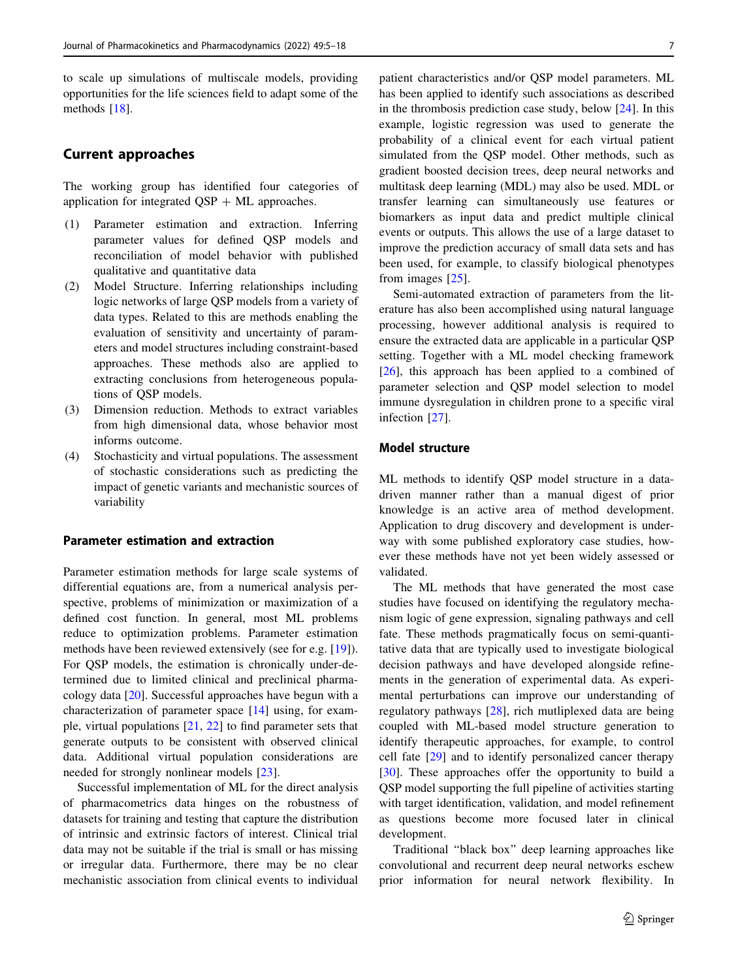to scale up simulations of multiscale models, providing opportunities for the life sciences field to adapt some of the methods [[18\]](#page-10-0).

# Current approaches

The working group has identified four categories of application for integrated  $QSP + ML$  approaches.

- (1) Parameter estimation and extraction. Inferring parameter values for defined QSP models and reconciliation of model behavior with published qualitative and quantitative data
- (2) Model Structure. Inferring relationships including logic networks of large QSP models from a variety of data types. Related to this are methods enabling the evaluation of sensitivity and uncertainty of parameters and model structures including constraint-based approaches. These methods also are applied to extracting conclusions from heterogeneous populations of QSP models.
- (3) Dimension reduction. Methods to extract variables from high dimensional data, whose behavior most informs outcome.
- (4) Stochasticity and virtual populations. The assessment of stochastic considerations such as predicting the impact of genetic variants and mechanistic sources of variability

#### Parameter estimation and extraction

Parameter estimation methods for large scale systems of differential equations are, from a numerical analysis perspective, problems of minimization or maximization of a defined cost function. In general, most ML problems reduce to optimization problems. Parameter estimation methods have been reviewed extensively (see for e.g. [[19](#page-10-0)]). For QSP models, the estimation is chronically under-determined due to limited clinical and preclinical pharmacology data [[20\]](#page-10-0). Successful approaches have begun with a characterization of parameter space [[14\]](#page-10-0) using, for example, virtual populations [\[21](#page-10-0), [22\]](#page-10-0) to find parameter sets that generate outputs to be consistent with observed clinical data. Additional virtual population considerations are needed for strongly nonlinear models [[23](#page-10-0)].

Successful implementation of ML for the direct analysis of pharmacometrics data hinges on the robustness of datasets for training and testing that capture the distribution of intrinsic and extrinsic factors of interest. Clinical trial data may not be suitable if the trial is small or has missing or irregular data. Furthermore, there may be no clear mechanistic association from clinical events to individual

patient characteristics and/or QSP model parameters. ML has been applied to identify such associations as described in the thrombosis prediction case study, below [\[24](#page-11-0)]. In this example, logistic regression was used to generate the probability of a clinical event for each virtual patient simulated from the QSP model. Other methods, such as gradient boosted decision trees, deep neural networks and multitask deep learning (MDL) may also be used. MDL or transfer learning can simultaneously use features or biomarkers as input data and predict multiple clinical events or outputs. This allows the use of a large dataset to improve the prediction accuracy of small data sets and has been used, for example, to classify biological phenotypes from images [[25\]](#page-11-0).

Semi-automated extraction of parameters from the literature has also been accomplished using natural language processing, however additional analysis is required to ensure the extracted data are applicable in a particular QSP setting. Together with a ML model checking framework [\[26](#page-11-0)], this approach has been applied to a combined of parameter selection and QSP model selection to model immune dysregulation in children prone to a specific viral infection [\[27](#page-11-0)].

# Model structure

ML methods to identify QSP model structure in a datadriven manner rather than a manual digest of prior knowledge is an active area of method development. Application to drug discovery and development is underway with some published exploratory case studies, however these methods have not yet been widely assessed or validated.

The ML methods that have generated the most case studies have focused on identifying the regulatory mechanism logic of gene expression, signaling pathways and cell fate. These methods pragmatically focus on semi-quantitative data that are typically used to investigate biological decision pathways and have developed alongside refinements in the generation of experimental data. As experimental perturbations can improve our understanding of regulatory pathways [[28\]](#page-11-0), rich mutliplexed data are being coupled with ML-based model structure generation to identify therapeutic approaches, for example, to control cell fate [[29\]](#page-11-0) and to identify personalized cancer therapy [\[30](#page-11-0)]. These approaches offer the opportunity to build a QSP model supporting the full pipeline of activities starting with target identification, validation, and model refinement as questions become more focused later in clinical development.

Traditional ''black box'' deep learning approaches like convolutional and recurrent deep neural networks eschew prior information for neural network flexibility. In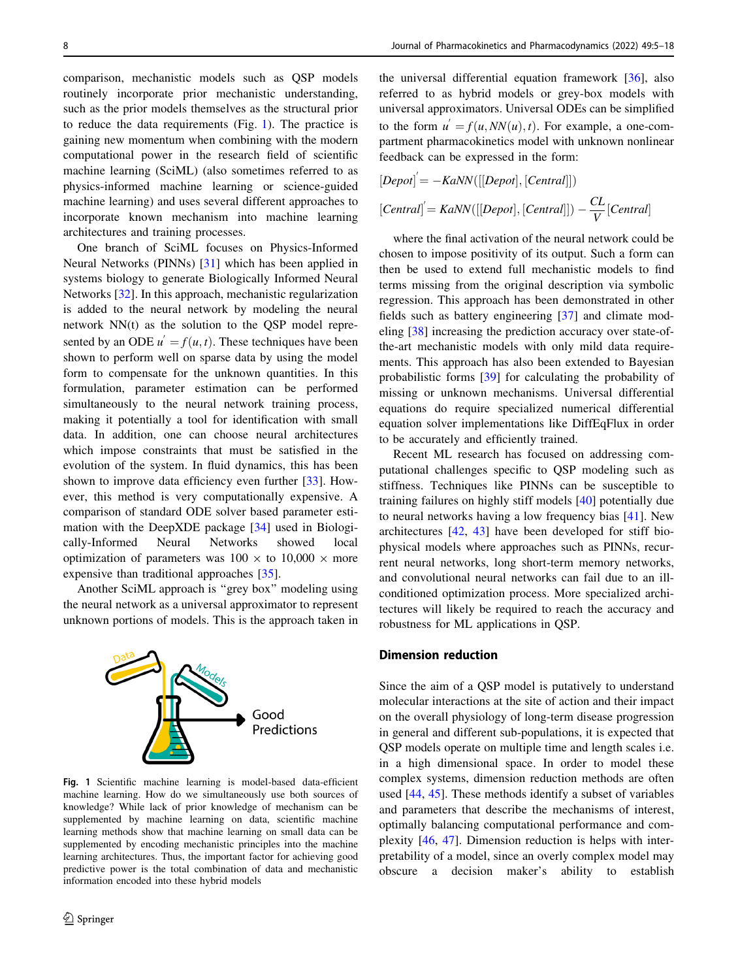<span id="page-3-0"></span>comparison, mechanistic models such as QSP models routinely incorporate prior mechanistic understanding, such as the prior models themselves as the structural prior to reduce the data requirements (Fig. 1). The practice is gaining new momentum when combining with the modern computational power in the research field of scientific machine learning (SciML) (also sometimes referred to as physics-informed machine learning or science-guided machine learning) and uses several different approaches to incorporate known mechanism into machine learning architectures and training processes.

One branch of SciML focuses on Physics-Informed Neural Networks (PINNs) [\[31](#page-11-0)] which has been applied in systems biology to generate Biologically Informed Neural Networks [[32\]](#page-11-0). In this approach, mechanistic regularization is added to the neural network by modeling the neural network NN(t) as the solution to the QSP model represented by an ODE  $u' = f(u, t)$ . These techniques have been shown to perform well on sparse data by using the model form to compensate for the unknown quantities. In this formulation, parameter estimation can be performed simultaneously to the neural network training process, making it potentially a tool for identification with small data. In addition, one can choose neural architectures which impose constraints that must be satisfied in the evolution of the system. In fluid dynamics, this has been shown to improve data efficiency even further [\[33](#page-11-0)]. However, this method is very computationally expensive. A comparison of standard ODE solver based parameter estimation with the DeepXDE package [\[34](#page-11-0)] used in Biologically-Informed Neural Networks showed local optimization of parameters was  $100 \times$  to  $10,000 \times$  more expensive than traditional approaches [\[35](#page-11-0)].

Another SciML approach is ''grey box'' modeling using the neural network as a universal approximator to represent unknown portions of models. This is the approach taken in



Fig. 1 Scientific machine learning is model-based data-efficient machine learning. How do we simultaneously use both sources of knowledge? While lack of prior knowledge of mechanism can be supplemented by machine learning on data, scientific machine learning methods show that machine learning on small data can be supplemented by encoding mechanistic principles into the machine learning architectures. Thus, the important factor for achieving good predictive power is the total combination of data and mechanistic information encoded into these hybrid models

the universal differential equation framework [\[36](#page-11-0)], also referred to as hybrid models or grey-box models with universal approximators. Universal ODEs can be simplified to the form  $u' = f(u, NN(u), t)$ . For example, a one-compartment pharmacokinetics model with unknown nonlinear feedback can be expressed in the form:

$$
[Depot] = -KaNN([[Depot], [Central]])
$$
  

$$
[Central] = KaNN([[Depot], [Central]]) - \frac{CL}{V}[Central]
$$

where the final activation of the neural network could be chosen to impose positivity of its output. Such a form can then be used to extend full mechanistic models to find terms missing from the original description via symbolic regression. This approach has been demonstrated in other fields such as battery engineering [\[37](#page-11-0)] and climate modeling [\[38](#page-11-0)] increasing the prediction accuracy over state-ofthe-art mechanistic models with only mild data requirements. This approach has also been extended to Bayesian probabilistic forms [[39\]](#page-11-0) for calculating the probability of missing or unknown mechanisms. Universal differential equations do require specialized numerical differential equation solver implementations like DiffEqFlux in order to be accurately and efficiently trained.

Recent ML research has focused on addressing computational challenges specific to QSP modeling such as stiffness. Techniques like PINNs can be susceptible to training failures on highly stiff models [[40\]](#page-11-0) potentially due to neural networks having a low frequency bias [[41\]](#page-11-0). New architectures [\[42](#page-11-0), [43\]](#page-11-0) have been developed for stiff biophysical models where approaches such as PINNs, recurrent neural networks, long short-term memory networks, and convolutional neural networks can fail due to an illconditioned optimization process. More specialized architectures will likely be required to reach the accuracy and robustness for ML applications in QSP.

#### Dimension reduction

Since the aim of a QSP model is putatively to understand molecular interactions at the site of action and their impact on the overall physiology of long-term disease progression in general and different sub-populations, it is expected that QSP models operate on multiple time and length scales i.e. in a high dimensional space. In order to model these complex systems, dimension reduction methods are often used [[44,](#page-11-0) [45\]](#page-11-0). These methods identify a subset of variables and parameters that describe the mechanisms of interest, optimally balancing computational performance and complexity [\[46](#page-11-0), [47](#page-11-0)]. Dimension reduction is helps with interpretability of a model, since an overly complex model may obscure a decision maker's ability to establish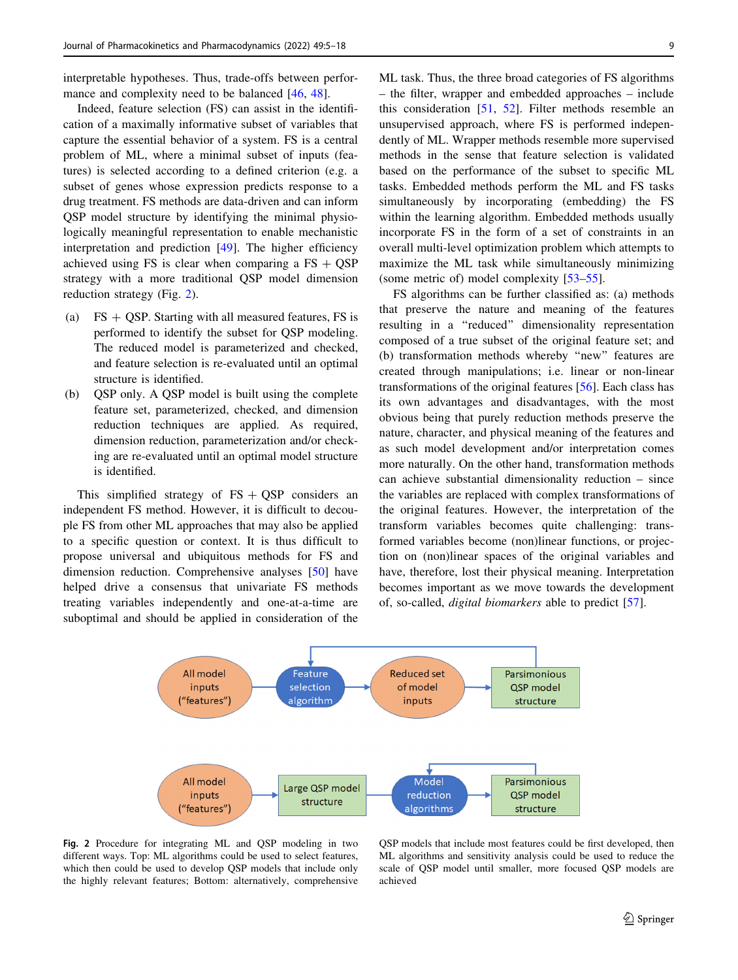interpretable hypotheses. Thus, trade-offs between performance and complexity need to be balanced [\[46](#page-11-0), [48](#page-11-0)].

Indeed, feature selection (FS) can assist in the identification of a maximally informative subset of variables that capture the essential behavior of a system. FS is a central problem of ML, where a minimal subset of inputs (features) is selected according to a defined criterion (e.g. a subset of genes whose expression predicts response to a drug treatment. FS methods are data-driven and can inform QSP model structure by identifying the minimal physiologically meaningful representation to enable mechanistic interpretation and prediction [\[49](#page-11-0)]. The higher efficiency achieved using FS is clear when comparing a  $FS + QSP$ strategy with a more traditional QSP model dimension reduction strategy (Fig. 2).

- (a)  $FS + QSP$ . Starting with all measured features, FS is performed to identify the subset for QSP modeling. The reduced model is parameterized and checked, and feature selection is re-evaluated until an optimal structure is identified.
- (b) QSP only. A QSP model is built using the complete feature set, parameterized, checked, and dimension reduction techniques are applied. As required, dimension reduction, parameterization and/or checking are re-evaluated until an optimal model structure is identified.

This simplified strategy of  $FS + QSP$  considers an independent FS method. However, it is difficult to decouple FS from other ML approaches that may also be applied to a specific question or context. It is thus difficult to propose universal and ubiquitous methods for FS and dimension reduction. Comprehensive analyses [\[50](#page-11-0)] have helped drive a consensus that univariate FS methods treating variables independently and one-at-a-time are suboptimal and should be applied in consideration of the ML task. Thus, the three broad categories of FS algorithms – the filter, wrapper and embedded approaches – include this consideration [\[51](#page-11-0), [52](#page-11-0)]. Filter methods resemble an unsupervised approach, where FS is performed independently of ML. Wrapper methods resemble more supervised methods in the sense that feature selection is validated based on the performance of the subset to specific ML tasks. Embedded methods perform the ML and FS tasks simultaneously by incorporating (embedding) the FS within the learning algorithm. Embedded methods usually incorporate FS in the form of a set of constraints in an overall multi-level optimization problem which attempts to maximize the ML task while simultaneously minimizing (some metric of) model complexity [[53–55\]](#page-11-0).

FS algorithms can be further classified as: (a) methods that preserve the nature and meaning of the features resulting in a ''reduced'' dimensionality representation composed of a true subset of the original feature set; and (b) transformation methods whereby ''new'' features are created through manipulations; i.e. linear or non-linear transformations of the original features [\[56](#page-11-0)]. Each class has its own advantages and disadvantages, with the most obvious being that purely reduction methods preserve the nature, character, and physical meaning of the features and as such model development and/or interpretation comes more naturally. On the other hand, transformation methods can achieve substantial dimensionality reduction – since the variables are replaced with complex transformations of the original features. However, the interpretation of the transform variables becomes quite challenging: transformed variables become (non)linear functions, or projection on (non)linear spaces of the original variables and have, therefore, lost their physical meaning. Interpretation becomes important as we move towards the development of, so-called, digital biomarkers able to predict [\[57](#page-11-0)].



Fig. 2 Procedure for integrating ML and QSP modeling in two different ways. Top: ML algorithms could be used to select features, which then could be used to develop QSP models that include only the highly relevant features; Bottom: alternatively, comprehensive

QSP models that include most features could be first developed, then ML algorithms and sensitivity analysis could be used to reduce the scale of QSP model until smaller, more focused QSP models are achieved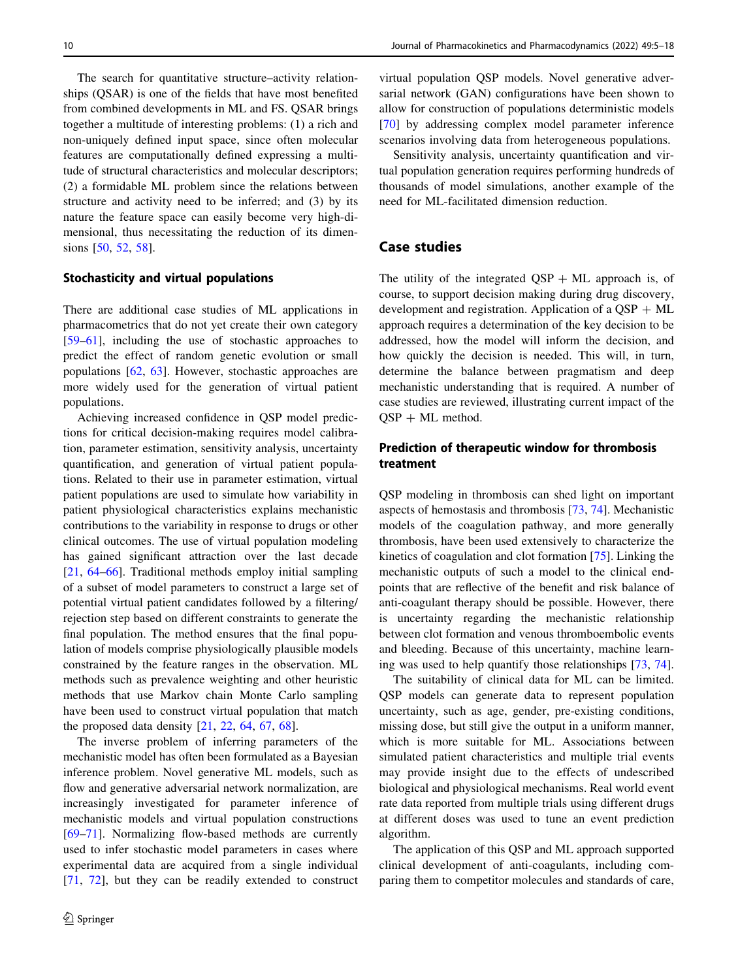The search for quantitative structure–activity relationships (QSAR) is one of the fields that have most benefited from combined developments in ML and FS. QSAR brings together a multitude of interesting problems: (1) a rich and non-uniquely defined input space, since often molecular features are computationally defined expressing a multitude of structural characteristics and molecular descriptors; (2) a formidable ML problem since the relations between structure and activity need to be inferred; and (3) by its nature the feature space can easily become very high-dimensional, thus necessitating the reduction of its dimen-sions [\[50](#page-11-0), [52,](#page-11-0) [58\]](#page-11-0).

### Stochasticity and virtual populations

There are additional case studies of ML applications in pharmacometrics that do not yet create their own category [\[59–61](#page-11-0)], including the use of stochastic approaches to predict the effect of random genetic evolution or small populations [\[62](#page-12-0), [63](#page-12-0)]. However, stochastic approaches are more widely used for the generation of virtual patient populations.

Achieving increased confidence in QSP model predictions for critical decision-making requires model calibration, parameter estimation, sensitivity analysis, uncertainty quantification, and generation of virtual patient populations. Related to their use in parameter estimation, virtual patient populations are used to simulate how variability in patient physiological characteristics explains mechanistic contributions to the variability in response to drugs or other clinical outcomes. The use of virtual population modeling has gained significant attraction over the last decade [\[21](#page-10-0), [64–66\]](#page-12-0). Traditional methods employ initial sampling of a subset of model parameters to construct a large set of potential virtual patient candidates followed by a filtering/ rejection step based on different constraints to generate the final population. The method ensures that the final population of models comprise physiologically plausible models constrained by the feature ranges in the observation. ML methods such as prevalence weighting and other heuristic methods that use Markov chain Monte Carlo sampling have been used to construct virtual population that match the proposed data density [\[21](#page-10-0), [22,](#page-10-0) [64,](#page-12-0) [67,](#page-12-0) [68](#page-12-0)].

The inverse problem of inferring parameters of the mechanistic model has often been formulated as a Bayesian inference problem. Novel generative ML models, such as flow and generative adversarial network normalization, are increasingly investigated for parameter inference of mechanistic models and virtual population constructions [\[69–71](#page-12-0)]. Normalizing flow-based methods are currently used to infer stochastic model parameters in cases where experimental data are acquired from a single individual [\[71](#page-12-0), [72\]](#page-12-0), but they can be readily extended to construct virtual population QSP models. Novel generative adversarial network (GAN) configurations have been shown to allow for construction of populations deterministic models [\[70](#page-12-0)] by addressing complex model parameter inference scenarios involving data from heterogeneous populations.

Sensitivity analysis, uncertainty quantification and virtual population generation requires performing hundreds of thousands of model simulations, another example of the need for ML-facilitated dimension reduction.

## Case studies

The utility of the integrated  $QSP + ML$  approach is, of course, to support decision making during drug discovery, development and registration. Application of a  $\text{OSP} + \text{ML}$ approach requires a determination of the key decision to be addressed, how the model will inform the decision, and how quickly the decision is needed. This will, in turn, determine the balance between pragmatism and deep mechanistic understanding that is required. A number of case studies are reviewed, illustrating current impact of the  $QSP + ML$  method.

# Prediction of therapeutic window for thrombosis treatment

QSP modeling in thrombosis can shed light on important aspects of hemostasis and thrombosis [[73,](#page-12-0) [74\]](#page-12-0). Mechanistic models of the coagulation pathway, and more generally thrombosis, have been used extensively to characterize the kinetics of coagulation and clot formation [[75\]](#page-12-0). Linking the mechanistic outputs of such a model to the clinical endpoints that are reflective of the benefit and risk balance of anti-coagulant therapy should be possible. However, there is uncertainty regarding the mechanistic relationship between clot formation and venous thromboembolic events and bleeding. Because of this uncertainty, machine learning was used to help quantify those relationships [[73,](#page-12-0) [74](#page-12-0)].

The suitability of clinical data for ML can be limited. QSP models can generate data to represent population uncertainty, such as age, gender, pre-existing conditions, missing dose, but still give the output in a uniform manner, which is more suitable for ML. Associations between simulated patient characteristics and multiple trial events may provide insight due to the effects of undescribed biological and physiological mechanisms. Real world event rate data reported from multiple trials using different drugs at different doses was used to tune an event prediction algorithm.

The application of this QSP and ML approach supported clinical development of anti-coagulants, including comparing them to competitor molecules and standards of care,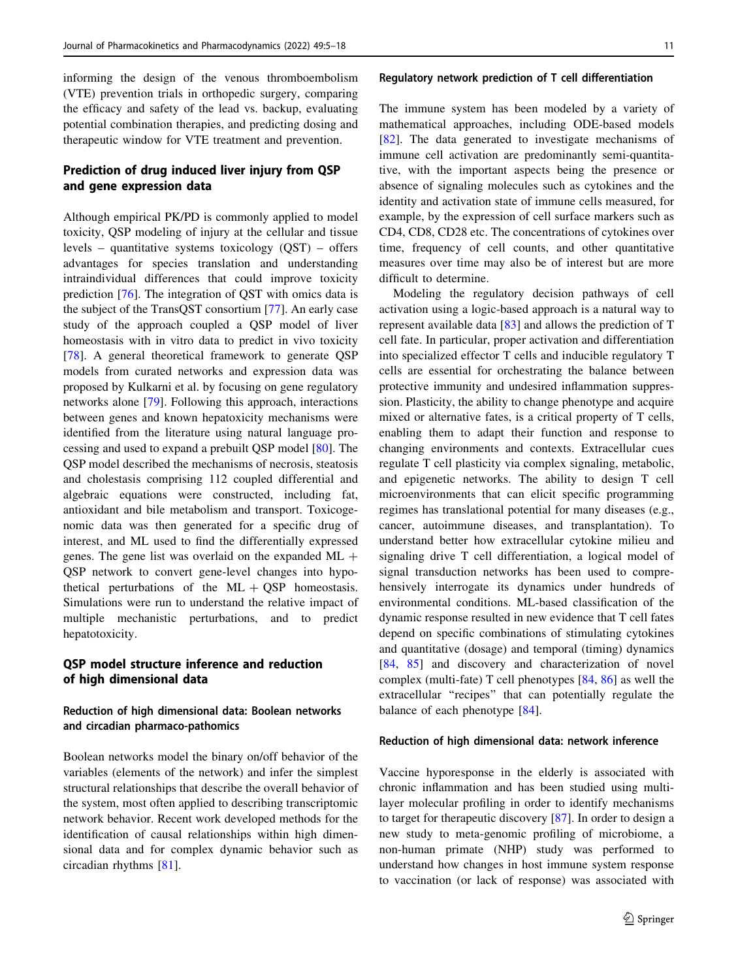informing the design of the venous thromboembolism (VTE) prevention trials in orthopedic surgery, comparing the efficacy and safety of the lead vs. backup, evaluating potential combination therapies, and predicting dosing and therapeutic window for VTE treatment and prevention.

# Prediction of drug induced liver injury from QSP and gene expression data

Although empirical PK/PD is commonly applied to model toxicity, QSP modeling of injury at the cellular and tissue levels – quantitative systems toxicology (QST) – offers advantages for species translation and understanding intraindividual differences that could improve toxicity prediction [[76\]](#page-12-0). The integration of QST with omics data is the subject of the TransQST consortium [[77\]](#page-12-0). An early case study of the approach coupled a QSP model of liver homeostasis with in vitro data to predict in vivo toxicity [\[78](#page-12-0)]. A general theoretical framework to generate QSP models from curated networks and expression data was proposed by Kulkarni et al. by focusing on gene regulatory networks alone [\[79](#page-12-0)]. Following this approach, interactions between genes and known hepatoxicity mechanisms were identified from the literature using natural language processing and used to expand a prebuilt QSP model [\[80](#page-12-0)]. The QSP model described the mechanisms of necrosis, steatosis and cholestasis comprising 112 coupled differential and algebraic equations were constructed, including fat, antioxidant and bile metabolism and transport. Toxicogenomic data was then generated for a specific drug of interest, and ML used to find the differentially expressed genes. The gene list was overlaid on the expanded  $ML +$ QSP network to convert gene-level changes into hypothetical perturbations of the  $ML + OSP$  homeostasis. Simulations were run to understand the relative impact of multiple mechanistic perturbations, and to predict hepatotoxicity.

# QSP model structure inference and reduction of high dimensional data

### Reduction of high dimensional data: Boolean networks and circadian pharmaco-pathomics

Boolean networks model the binary on/off behavior of the variables (elements of the network) and infer the simplest structural relationships that describe the overall behavior of the system, most often applied to describing transcriptomic network behavior. Recent work developed methods for the identification of causal relationships within high dimensional data and for complex dynamic behavior such as circadian rhythms [[81\]](#page-12-0).

#### Regulatory network prediction of T cell differentiation

The immune system has been modeled by a variety of mathematical approaches, including ODE-based models [\[82](#page-12-0)]. The data generated to investigate mechanisms of immune cell activation are predominantly semi-quantitative, with the important aspects being the presence or absence of signaling molecules such as cytokines and the identity and activation state of immune cells measured, for example, by the expression of cell surface markers such as CD4, CD8, CD28 etc. The concentrations of cytokines over time, frequency of cell counts, and other quantitative measures over time may also be of interest but are more difficult to determine.

Modeling the regulatory decision pathways of cell activation using a logic-based approach is a natural way to represent available data [\[83](#page-12-0)] and allows the prediction of T cell fate. In particular, proper activation and differentiation into specialized effector T cells and inducible regulatory T cells are essential for orchestrating the balance between protective immunity and undesired inflammation suppression. Plasticity, the ability to change phenotype and acquire mixed or alternative fates, is a critical property of T cells, enabling them to adapt their function and response to changing environments and contexts. Extracellular cues regulate T cell plasticity via complex signaling, metabolic, and epigenetic networks. The ability to design T cell microenvironments that can elicit specific programming regimes has translational potential for many diseases (e.g., cancer, autoimmune diseases, and transplantation). To understand better how extracellular cytokine milieu and signaling drive T cell differentiation, a logical model of signal transduction networks has been used to comprehensively interrogate its dynamics under hundreds of environmental conditions. ML-based classification of the dynamic response resulted in new evidence that T cell fates depend on specific combinations of stimulating cytokines and quantitative (dosage) and temporal (timing) dynamics [\[84](#page-12-0), [85\]](#page-12-0) and discovery and characterization of novel complex (multi-fate) T cell phenotypes [[84,](#page-12-0) [86](#page-12-0)] as well the extracellular ''recipes'' that can potentially regulate the balance of each phenotype [[84\]](#page-12-0).

#### Reduction of high dimensional data: network inference

Vaccine hyporesponse in the elderly is associated with chronic inflammation and has been studied using multilayer molecular profiling in order to identify mechanisms to target for therapeutic discovery [[87\]](#page-12-0). In order to design a new study to meta-genomic profiling of microbiome, a non-human primate (NHP) study was performed to understand how changes in host immune system response to vaccination (or lack of response) was associated with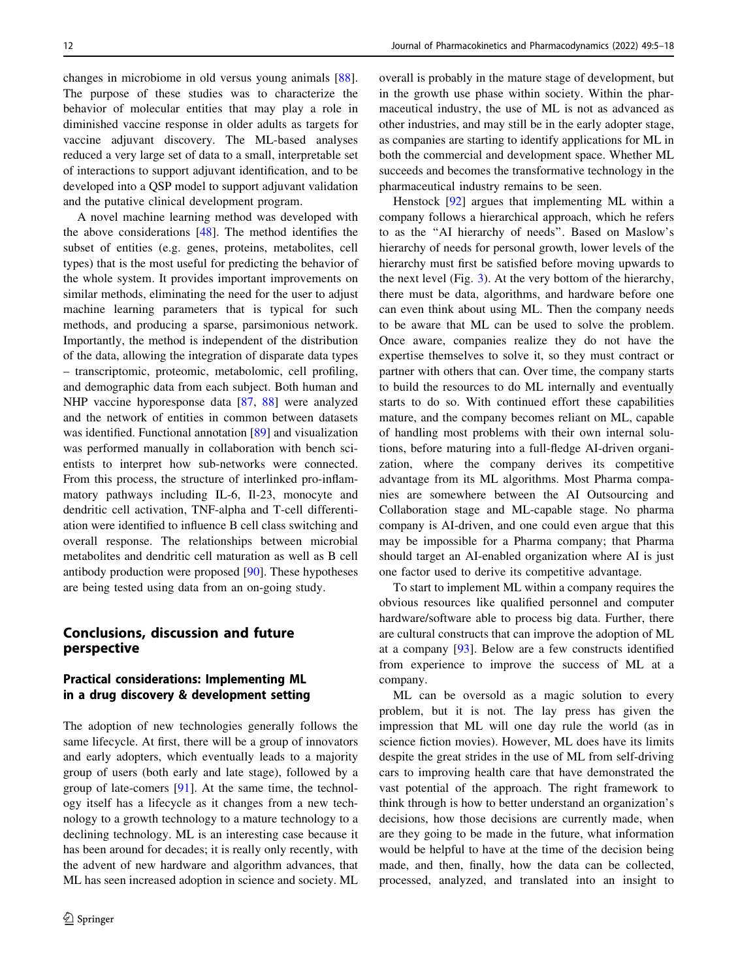changes in microbiome in old versus young animals [\[88](#page-12-0)]. The purpose of these studies was to characterize the behavior of molecular entities that may play a role in diminished vaccine response in older adults as targets for vaccine adjuvant discovery. The ML-based analyses reduced a very large set of data to a small, interpretable set of interactions to support adjuvant identification, and to be developed into a QSP model to support adjuvant validation and the putative clinical development program.

A novel machine learning method was developed with the above considerations [\[48](#page-11-0)]. The method identifies the subset of entities (e.g. genes, proteins, metabolites, cell types) that is the most useful for predicting the behavior of the whole system. It provides important improvements on similar methods, eliminating the need for the user to adjust machine learning parameters that is typical for such methods, and producing a sparse, parsimonious network. Importantly, the method is independent of the distribution of the data, allowing the integration of disparate data types – transcriptomic, proteomic, metabolomic, cell profiling, and demographic data from each subject. Both human and NHP vaccine hyporesponse data [[87,](#page-12-0) [88\]](#page-12-0) were analyzed and the network of entities in common between datasets was identified. Functional annotation [\[89](#page-12-0)] and visualization was performed manually in collaboration with bench scientists to interpret how sub-networks were connected. From this process, the structure of interlinked pro-inflammatory pathways including IL-6, Il-23, monocyte and dendritic cell activation, TNF-alpha and T-cell differentiation were identified to influence B cell class switching and overall response. The relationships between microbial metabolites and dendritic cell maturation as well as B cell antibody production were proposed [[90\]](#page-12-0). These hypotheses are being tested using data from an on-going study.

# Conclusions, discussion and future perspective

# Practical considerations: Implementing ML in a drug discovery & development setting

The adoption of new technologies generally follows the same lifecycle. At first, there will be a group of innovators and early adopters, which eventually leads to a majority group of users (both early and late stage), followed by a group of late-comers [\[91](#page-12-0)]. At the same time, the technology itself has a lifecycle as it changes from a new technology to a growth technology to a mature technology to a declining technology. ML is an interesting case because it has been around for decades; it is really only recently, with the advent of new hardware and algorithm advances, that ML has seen increased adoption in science and society. ML overall is probably in the mature stage of development, but in the growth use phase within society. Within the pharmaceutical industry, the use of ML is not as advanced as other industries, and may still be in the early adopter stage, as companies are starting to identify applications for ML in both the commercial and development space. Whether ML succeeds and becomes the transformative technology in the pharmaceutical industry remains to be seen.

Henstock [[92\]](#page-12-0) argues that implementing ML within a company follows a hierarchical approach, which he refers to as the ''AI hierarchy of needs''. Based on Maslow's hierarchy of needs for personal growth, lower levels of the hierarchy must first be satisfied before moving upwards to the next level (Fig. [3\)](#page-8-0). At the very bottom of the hierarchy, there must be data, algorithms, and hardware before one can even think about using ML. Then the company needs to be aware that ML can be used to solve the problem. Once aware, companies realize they do not have the expertise themselves to solve it, so they must contract or partner with others that can. Over time, the company starts to build the resources to do ML internally and eventually starts to do so. With continued effort these capabilities mature, and the company becomes reliant on ML, capable of handling most problems with their own internal solutions, before maturing into a full-fledge AI-driven organization, where the company derives its competitive advantage from its ML algorithms. Most Pharma companies are somewhere between the AI Outsourcing and Collaboration stage and ML-capable stage. No pharma company is AI-driven, and one could even argue that this may be impossible for a Pharma company; that Pharma should target an AI-enabled organization where AI is just one factor used to derive its competitive advantage.

To start to implement ML within a company requires the obvious resources like qualified personnel and computer hardware/software able to process big data. Further, there are cultural constructs that can improve the adoption of ML at a company [\[93](#page-13-0)]. Below are a few constructs identified from experience to improve the success of ML at a company.

ML can be oversold as a magic solution to every problem, but it is not. The lay press has given the impression that ML will one day rule the world (as in science fiction movies). However, ML does have its limits despite the great strides in the use of ML from self-driving cars to improving health care that have demonstrated the vast potential of the approach. The right framework to think through is how to better understand an organization's decisions, how those decisions are currently made, when are they going to be made in the future, what information would be helpful to have at the time of the decision being made, and then, finally, how the data can be collected, processed, analyzed, and translated into an insight to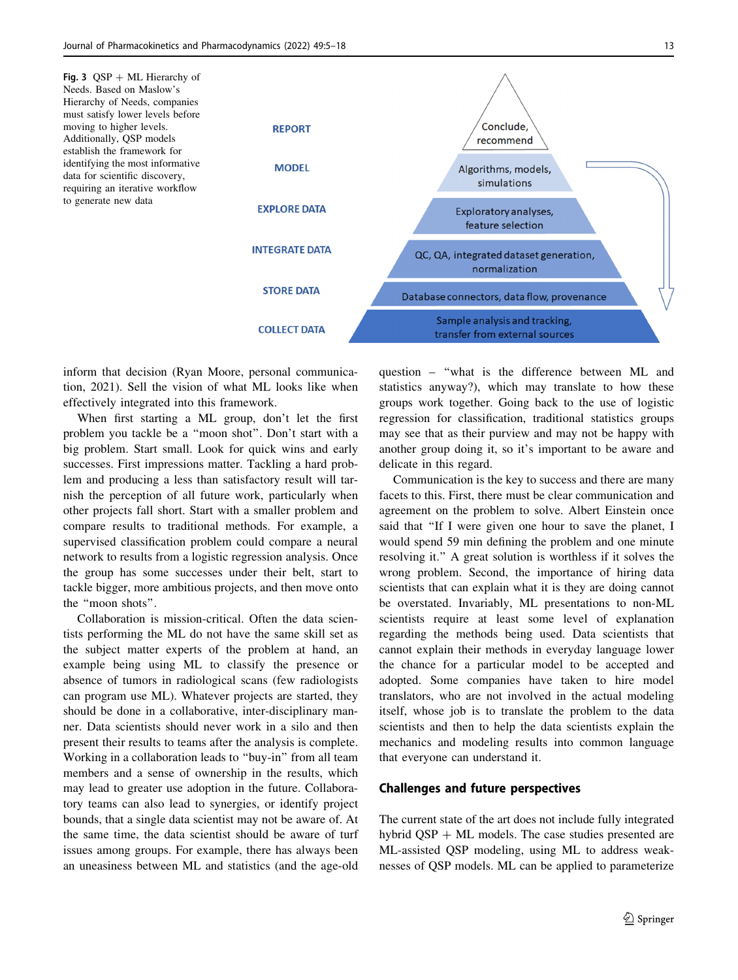<span id="page-8-0"></span>

inform that decision (Ryan Moore, personal communication, 2021). Sell the vision of what ML looks like when effectively integrated into this framework.

When first starting a ML group, don't let the first problem you tackle be a ''moon shot''. Don't start with a big problem. Start small. Look for quick wins and early successes. First impressions matter. Tackling a hard problem and producing a less than satisfactory result will tarnish the perception of all future work, particularly when other projects fall short. Start with a smaller problem and compare results to traditional methods. For example, a supervised classification problem could compare a neural network to results from a logistic regression analysis. Once the group has some successes under their belt, start to tackle bigger, more ambitious projects, and then move onto the ''moon shots''.

Collaboration is mission-critical. Often the data scientists performing the ML do not have the same skill set as the subject matter experts of the problem at hand, an example being using ML to classify the presence or absence of tumors in radiological scans (few radiologists can program use ML). Whatever projects are started, they should be done in a collaborative, inter-disciplinary manner. Data scientists should never work in a silo and then present their results to teams after the analysis is complete. Working in a collaboration leads to ''buy-in'' from all team members and a sense of ownership in the results, which may lead to greater use adoption in the future. Collaboratory teams can also lead to synergies, or identify project bounds, that a single data scientist may not be aware of. At the same time, the data scientist should be aware of turf issues among groups. For example, there has always been an uneasiness between ML and statistics (and the age-old question – ''what is the difference between ML and statistics anyway?), which may translate to how these groups work together. Going back to the use of logistic regression for classification, traditional statistics groups may see that as their purview and may not be happy with another group doing it, so it's important to be aware and delicate in this regard.

Communication is the key to success and there are many facets to this. First, there must be clear communication and agreement on the problem to solve. Albert Einstein once said that ''If I were given one hour to save the planet, I would spend 59 min defining the problem and one minute resolving it.'' A great solution is worthless if it solves the wrong problem. Second, the importance of hiring data scientists that can explain what it is they are doing cannot be overstated. Invariably, ML presentations to non-ML scientists require at least some level of explanation regarding the methods being used. Data scientists that cannot explain their methods in everyday language lower the chance for a particular model to be accepted and adopted. Some companies have taken to hire model translators, who are not involved in the actual modeling itself, whose job is to translate the problem to the data scientists and then to help the data scientists explain the mechanics and modeling results into common language that everyone can understand it.

#### Challenges and future perspectives

The current state of the art does not include fully integrated hybrid  $\text{QSP} + \text{ML}$  models. The case studies presented are ML-assisted QSP modeling, using ML to address weaknesses of QSP models. ML can be applied to parameterize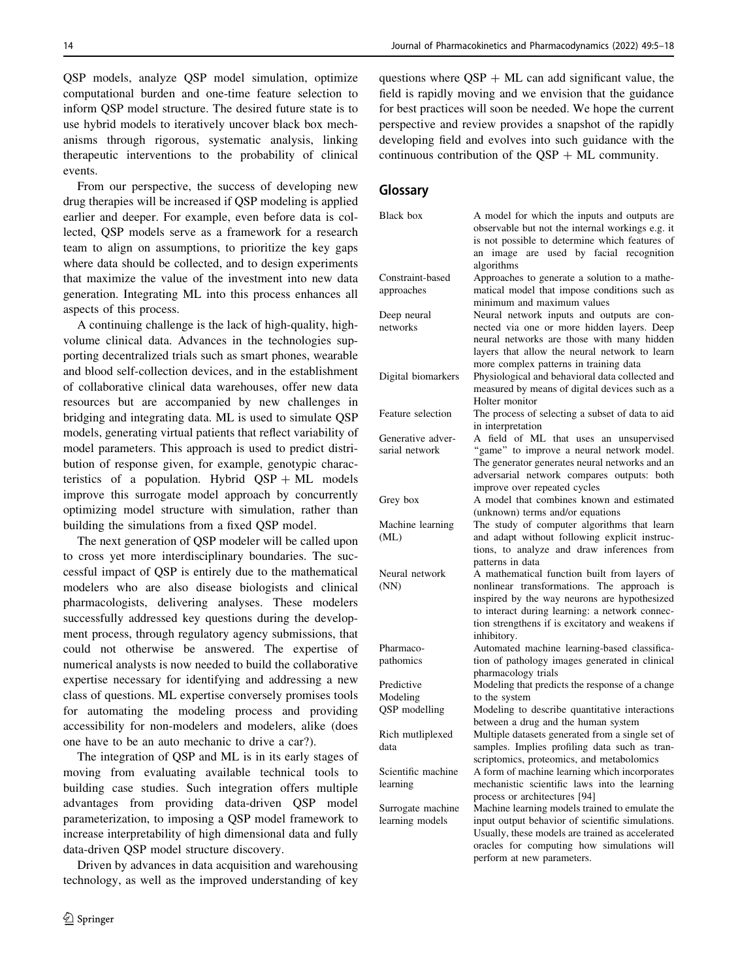QSP models, analyze QSP model simulation, optimize computational burden and one-time feature selection to inform QSP model structure. The desired future state is to use hybrid models to iteratively uncover black box mechanisms through rigorous, systematic analysis, linking therapeutic interventions to the probability of clinical events.

From our perspective, the success of developing new drug therapies will be increased if QSP modeling is applied earlier and deeper. For example, even before data is collected, QSP models serve as a framework for a research team to align on assumptions, to prioritize the key gaps where data should be collected, and to design experiments that maximize the value of the investment into new data generation. Integrating ML into this process enhances all aspects of this process.

A continuing challenge is the lack of high-quality, highvolume clinical data. Advances in the technologies supporting decentralized trials such as smart phones, wearable and blood self-collection devices, and in the establishment of collaborative clinical data warehouses, offer new data resources but are accompanied by new challenges in bridging and integrating data. ML is used to simulate QSP models, generating virtual patients that reflect variability of model parameters. This approach is used to predict distribution of response given, for example, genotypic characteristics of a population. Hybrid  $QSP + ML$  models improve this surrogate model approach by concurrently optimizing model structure with simulation, rather than building the simulations from a fixed QSP model.

The next generation of QSP modeler will be called upon to cross yet more interdisciplinary boundaries. The successful impact of QSP is entirely due to the mathematical modelers who are also disease biologists and clinical pharmacologists, delivering analyses. These modelers successfully addressed key questions during the development process, through regulatory agency submissions, that could not otherwise be answered. The expertise of numerical analysts is now needed to build the collaborative expertise necessary for identifying and addressing a new class of questions. ML expertise conversely promises tools for automating the modeling process and providing accessibility for non-modelers and modelers, alike (does one have to be an auto mechanic to drive a car?).

The integration of QSP and ML is in its early stages of moving from evaluating available technical tools to building case studies. Such integration offers multiple advantages from providing data-driven QSP model parameterization, to imposing a QSP model framework to increase interpretability of high dimensional data and fully data-driven QSP model structure discovery.

Driven by advances in data acquisition and warehousing technology, as well as the improved understanding of key

questions where  $OSP + ML$  can add significant value, the field is rapidly moving and we envision that the guidance for best practices will soon be needed. We hope the current perspective and review provides a snapshot of the rapidly developing field and evolves into such guidance with the continuous contribution of the  $\text{OSP} + \text{ML}$  community.

### Glossary

| Black box               | A model for which the inputs and outputs are                                                                                                        |
|-------------------------|-----------------------------------------------------------------------------------------------------------------------------------------------------|
|                         | observable but not the internal workings e.g. it<br>is not possible to determine which features of<br>are used by facial recognition<br>image<br>an |
|                         | algorithms                                                                                                                                          |
| Constraint-based        | Approaches to generate a solution to a mathe-                                                                                                       |
| approaches              | matical model that impose conditions such as                                                                                                        |
|                         | minimum and maximum values                                                                                                                          |
| Deep neural<br>networks | Neural network inputs and outputs are con-                                                                                                          |
|                         | nected via one or more hidden layers. Deep                                                                                                          |
|                         | neural networks are those with many hidden<br>layers that allow the neural network to learn                                                         |
|                         | more complex patterns in training data                                                                                                              |
| Digital biomarkers      | Physiological and behavioral data collected and                                                                                                     |
|                         | measured by means of digital devices such as a                                                                                                      |
|                         | Holter monitor                                                                                                                                      |
| Feature selection       | The process of selecting a subset of data to aid                                                                                                    |
|                         | in interpretation                                                                                                                                   |
| Generative adver-       | A field of ML that uses an unsupervised                                                                                                             |
| sarial network          | "game" to improve a neural network model.                                                                                                           |
|                         | The generator generates neural networks and an                                                                                                      |
|                         | adversarial network compares outputs: both                                                                                                          |
|                         | improve over repeated cycles                                                                                                                        |
| Grey box                | A model that combines known and estimated                                                                                                           |
|                         | (unknown) terms and/or equations                                                                                                                    |
| Machine learning        | The study of computer algorithms that learn                                                                                                         |
| (ML)                    | and adapt without following explicit instruc-                                                                                                       |
|                         | tions, to analyze and draw inferences from                                                                                                          |
| Neural network          | patterns in data<br>A mathematical function built from layers of                                                                                    |
| (NN)                    | nonlinear transformations. The approach is                                                                                                          |
|                         | inspired by the way neurons are hypothesized                                                                                                        |
|                         | to interact during learning: a network connec-                                                                                                      |
|                         | tion strengthens if is excitatory and weakens if                                                                                                    |
|                         | inhibitory.                                                                                                                                         |
| Pharmaco-               | Automated machine learning-based classifica-                                                                                                        |
| pathomics               | tion of pathology images generated in clinical                                                                                                      |
|                         | pharmacology trials                                                                                                                                 |
| Predictive              | Modeling that predicts the response of a change                                                                                                     |
| Modeling                | to the system                                                                                                                                       |
| QSP modelling           | Modeling to describe quantitative interactions                                                                                                      |
|                         | between a drug and the human system                                                                                                                 |
| Rich mutliplexed        | Multiple datasets generated from a single set of                                                                                                    |
| data                    | samples. Implies profiling data such as tran-                                                                                                       |
|                         | scriptomics, proteomics, and metabolomics                                                                                                           |
| Scientific machine      | A form of machine learning which incorporates                                                                                                       |
| learning                | mechanistic scientific laws into the learning                                                                                                       |
|                         | process or architectures [94]                                                                                                                       |
| Surrogate machine       | Machine learning models trained to emulate the                                                                                                      |
| learning models         | input output behavior of scientific simulations.                                                                                                    |
|                         | Usually, these models are trained as accelerated                                                                                                    |
|                         | oracles for computing how simulations will                                                                                                          |
|                         | perform at new parameters.                                                                                                                          |
|                         |                                                                                                                                                     |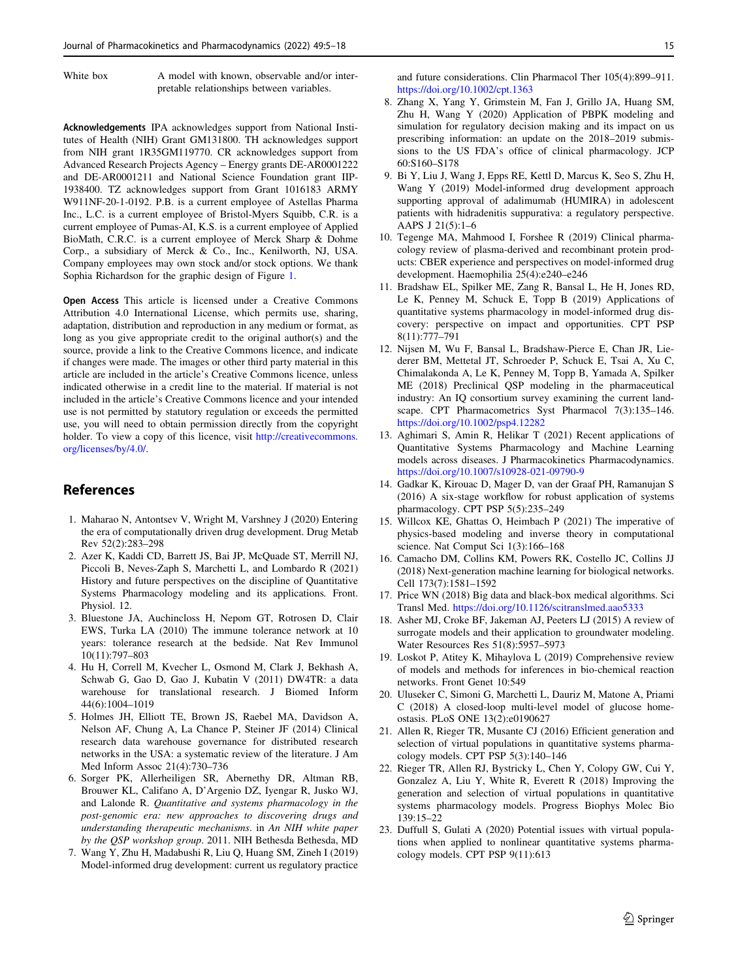<span id="page-10-0"></span>White box A model with known, observable and/or interpretable relationships between variables.

Acknowledgements IPA acknowledges support from National Institutes of Health (NIH) Grant GM131800. TH acknowledges support from NIH grant 1R35GM119770. CR acknowledges support from Advanced Research Projects Agency – Energy grants DE-AR0001222 and DE-AR0001211 and National Science Foundation grant IIP-1938400. TZ acknowledges support from Grant 1016183 ARMY W911NF-20-1-0192. P.B. is a current employee of Astellas Pharma Inc., L.C. is a current employee of Bristol-Myers Squibb, C.R. is a current employee of Pumas-AI, K.S. is a current employee of Applied BioMath, C.R.C. is a current employee of Merck Sharp & Dohme Corp., a subsidiary of Merck & Co., Inc., Kenilworth, NJ, USA. Company employees may own stock and/or stock options. We thank Sophia Richardson for the graphic design of Figure [1](#page-3-0).

Open Access This article is licensed under a Creative Commons Attribution 4.0 International License, which permits use, sharing, adaptation, distribution and reproduction in any medium or format, as long as you give appropriate credit to the original author(s) and the source, provide a link to the Creative Commons licence, and indicate if changes were made. The images or other third party material in this article are included in the article's Creative Commons licence, unless indicated otherwise in a credit line to the material. If material is not included in the article's Creative Commons licence and your intended use is not permitted by statutory regulation or exceeds the permitted use, you will need to obtain permission directly from the copyright holder. To view a copy of this licence, visit [http://creativecommons.](http://creativecommons.org/licenses/by/4.0/) [org/licenses/by/4.0/.](http://creativecommons.org/licenses/by/4.0/)

# References

- 1. Maharao N, Antontsev V, Wright M, Varshney J (2020) Entering the era of computationally driven drug development. Drug Metab Rev 52(2):283–298
- 2. Azer K, Kaddi CD, Barrett JS, Bai JP, McQuade ST, Merrill NJ, Piccoli B, Neves-Zaph S, Marchetti L, and Lombardo R (2021) History and future perspectives on the discipline of Quantitative Systems Pharmacology modeling and its applications. Front. Physiol. 12.
- 3. Bluestone JA, Auchincloss H, Nepom GT, Rotrosen D, Clair EWS, Turka LA (2010) The immune tolerance network at 10 years: tolerance research at the bedside. Nat Rev Immunol 10(11):797–803
- 4. Hu H, Correll M, Kvecher L, Osmond M, Clark J, Bekhash A, Schwab G, Gao D, Gao J, Kubatin V (2011) DW4TR: a data warehouse for translational research. J Biomed Inform 44(6):1004–1019
- 5. Holmes JH, Elliott TE, Brown JS, Raebel MA, Davidson A, Nelson AF, Chung A, La Chance P, Steiner JF (2014) Clinical research data warehouse governance for distributed research networks in the USA: a systematic review of the literature. J Am Med Inform Assoc 21(4):730–736
- 6. Sorger PK, Allerheiligen SR, Abernethy DR, Altman RB, Brouwer KL, Califano A, D'Argenio DZ, Iyengar R, Jusko WJ, and Lalonde R. Quantitative and systems pharmacology in the post-genomic era: new approaches to discovering drugs and understanding therapeutic mechanisms. in An NIH white paper by the QSP workshop group. 2011. NIH Bethesda Bethesda, MD
- 7. Wang Y, Zhu H, Madabushi R, Liu Q, Huang SM, Zineh I (2019) Model-informed drug development: current us regulatory practice

and future considerations. Clin Pharmacol Ther 105(4):899–911. <https://doi.org/10.1002/cpt.1363>

- 8. Zhang X, Yang Y, Grimstein M, Fan J, Grillo JA, Huang SM, Zhu H, Wang Y (2020) Application of PBPK modeling and simulation for regulatory decision making and its impact on us prescribing information: an update on the 2018–2019 submissions to the US FDA's office of clinical pharmacology. JCP 60:S160–S178
- 9. Bi Y, Liu J, Wang J, Epps RE, Kettl D, Marcus K, Seo S, Zhu H, Wang Y (2019) Model-informed drug development approach supporting approval of adalimumab (HUMIRA) in adolescent patients with hidradenitis suppurativa: a regulatory perspective. AAPS J 21(5):1–6
- 10. Tegenge MA, Mahmood I, Forshee R (2019) Clinical pharmacology review of plasma-derived and recombinant protein products: CBER experience and perspectives on model-informed drug development. Haemophilia 25(4):e240–e246
- 11. Bradshaw EL, Spilker ME, Zang R, Bansal L, He H, Jones RD, Le K, Penney M, Schuck E, Topp B (2019) Applications of quantitative systems pharmacology in model-informed drug discovery: perspective on impact and opportunities. CPT PSP 8(11):777–791
- 12. Nijsen M, Wu F, Bansal L, Bradshaw-Pierce E, Chan JR, Liederer BM, Mettetal JT, Schroeder P, Schuck E, Tsai A, Xu C, Chimalakonda A, Le K, Penney M, Topp B, Yamada A, Spilker ME (2018) Preclinical QSP modeling in the pharmaceutical industry: An IQ consortium survey examining the current landscape. CPT Pharmacometrics Syst Pharmacol 7(3):135–146. <https://doi.org/10.1002/psp4.12282>
- 13. Aghimari S, Amin R, Helikar T (2021) Recent applications of Quantitative Systems Pharmacology and Machine Learning models across diseases. J Pharmacokinetics Pharmacodynamics. <https://doi.org/10.1007/s10928-021-09790-9>
- 14. Gadkar K, Kirouac D, Mager D, van der Graaf PH, Ramanujan S (2016) A six-stage workflow for robust application of systems pharmacology. CPT PSP 5(5):235–249
- 15. Willcox KE, Ghattas O, Heimbach P (2021) The imperative of physics-based modeling and inverse theory in computational science. Nat Comput Sci 1(3):166–168
- 16. Camacho DM, Collins KM, Powers RK, Costello JC, Collins JJ (2018) Next-generation machine learning for biological networks. Cell 173(7):1581–1592
- 17. Price WN (2018) Big data and black-box medical algorithms. Sci Transl Med. <https://doi.org/10.1126/scitranslmed.aao5333>
- 18. Asher MJ, Croke BF, Jakeman AJ, Peeters LJ (2015) A review of surrogate models and their application to groundwater modeling. Water Resources Res 51(8):5957–5973
- 19. Loskot P, Atitey K, Mihaylova L (2019) Comprehensive review of models and methods for inferences in bio-chemical reaction networks. Front Genet 10:549
- 20. Uluseker C, Simoni G, Marchetti L, Dauriz M, Matone A, Priami C (2018) A closed-loop multi-level model of glucose homeostasis. PLoS ONE 13(2):e0190627
- 21. Allen R, Rieger TR, Musante CJ (2016) Efficient generation and selection of virtual populations in quantitative systems pharmacology models. CPT PSP 5(3):140–146
- 22. Rieger TR, Allen RJ, Bystricky L, Chen Y, Colopy GW, Cui Y, Gonzalez A, Liu Y, White R, Everett R (2018) Improving the generation and selection of virtual populations in quantitative systems pharmacology models. Progress Biophys Molec Bio 139:15–22
- 23. Duffull S, Gulati A (2020) Potential issues with virtual populations when applied to nonlinear quantitative systems pharmacology models. CPT PSP 9(11):613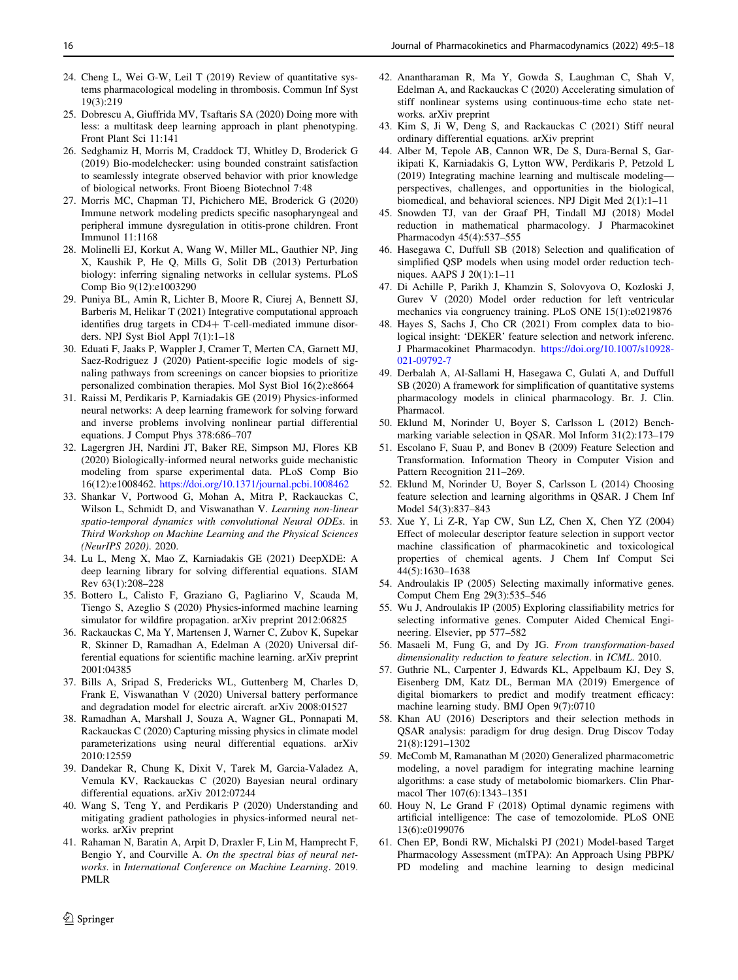- <span id="page-11-0"></span>24. Cheng L, Wei G-W, Leil T (2019) Review of quantitative systems pharmacological modeling in thrombosis. Commun Inf Syst 19(3):219
- 25. Dobrescu A, Giuffrida MV, Tsaftaris SA (2020) Doing more with less: a multitask deep learning approach in plant phenotyping. Front Plant Sci 11:141
- 26. Sedghamiz H, Morris M, Craddock TJ, Whitley D, Broderick G (2019) Bio-modelchecker: using bounded constraint satisfaction to seamlessly integrate observed behavior with prior knowledge of biological networks. Front Bioeng Biotechnol 7:48
- 27. Morris MC, Chapman TJ, Pichichero ME, Broderick G (2020) Immune network modeling predicts specific nasopharyngeal and peripheral immune dysregulation in otitis-prone children. Front Immunol 11:1168
- 28. Molinelli EJ, Korkut A, Wang W, Miller ML, Gauthier NP, Jing X, Kaushik P, He Q, Mills G, Solit DB (2013) Perturbation biology: inferring signaling networks in cellular systems. PLoS Comp Bio 9(12):e1003290
- 29. Puniya BL, Amin R, Lichter B, Moore R, Ciurej A, Bennett SJ, Barberis M, Helikar T (2021) Integrative computational approach identifies drug targets in CD4+ T-cell-mediated immune disorders. NPJ Syst Biol Appl 7(1):1–18
- 30. Eduati F, Jaaks P, Wappler J, Cramer T, Merten CA, Garnett MJ, Saez-Rodriguez J (2020) Patient-specific logic models of signaling pathways from screenings on cancer biopsies to prioritize personalized combination therapies. Mol Syst Biol 16(2):e8664
- 31. Raissi M, Perdikaris P, Karniadakis GE (2019) Physics-informed neural networks: A deep learning framework for solving forward and inverse problems involving nonlinear partial differential equations. J Comput Phys 378:686–707
- 32. Lagergren JH, Nardini JT, Baker RE, Simpson MJ, Flores KB (2020) Biologically-informed neural networks guide mechanistic modeling from sparse experimental data. PLoS Comp Bio 16(12):e1008462. <https://doi.org/10.1371/journal.pcbi.1008462>
- 33. Shankar V, Portwood G, Mohan A, Mitra P, Rackauckas C, Wilson L, Schmidt D, and Viswanathan V. Learning non-linear spatio-temporal dynamics with convolutional Neural ODEs. in Third Workshop on Machine Learning and the Physical Sciences (NeurIPS 2020). 2020.
- 34. Lu L, Meng X, Mao Z, Karniadakis GE (2021) DeepXDE: A deep learning library for solving differential equations. SIAM Rev 63(1):208–228
- 35. Bottero L, Calisto F, Graziano G, Pagliarino V, Scauda M, Tiengo S, Azeglio S (2020) Physics-informed machine learning simulator for wildfire propagation. arXiv preprint 2012:06825
- 36. Rackauckas C, Ma Y, Martensen J, Warner C, Zubov K, Supekar R, Skinner D, Ramadhan A, Edelman A (2020) Universal differential equations for scientific machine learning. arXiv preprint 2001:04385
- 37. Bills A, Sripad S, Fredericks WL, Guttenberg M, Charles D, Frank E, Viswanathan V (2020) Universal battery performance and degradation model for electric aircraft. arXiv 2008:01527
- 38. Ramadhan A, Marshall J, Souza A, Wagner GL, Ponnapati M, Rackauckas C (2020) Capturing missing physics in climate model parameterizations using neural differential equations. arXiv 2010:12559
- 39. Dandekar R, Chung K, Dixit V, Tarek M, Garcia-Valadez A, Vemula KV, Rackauckas C (2020) Bayesian neural ordinary differential equations. arXiv 2012:07244
- 40. Wang S, Teng Y, and Perdikaris P (2020) Understanding and mitigating gradient pathologies in physics-informed neural networks. arXiv preprint
- 41. Rahaman N, Baratin A, Arpit D, Draxler F, Lin M, Hamprecht F, Bengio Y, and Courville A. On the spectral bias of neural networks. in International Conference on Machine Learning. 2019. PMLR
- 42. Anantharaman R, Ma Y, Gowda S, Laughman C, Shah V, Edelman A, and Rackauckas C (2020) Accelerating simulation of stiff nonlinear systems using continuous-time echo state networks. arXiv preprint
- 43. Kim S, Ji W, Deng S, and Rackauckas C (2021) Stiff neural ordinary differential equations. arXiv preprint
- 44. Alber M, Tepole AB, Cannon WR, De S, Dura-Bernal S, Garikipati K, Karniadakis G, Lytton WW, Perdikaris P, Petzold L (2019) Integrating machine learning and multiscale modeling perspectives, challenges, and opportunities in the biological, biomedical, and behavioral sciences. NPJ Digit Med 2(1):1–11
- 45. Snowden TJ, van der Graaf PH, Tindall MJ (2018) Model reduction in mathematical pharmacology. J Pharmacokinet Pharmacodyn 45(4):537–555
- 46. Hasegawa C, Duffull SB (2018) Selection and qualification of simplified QSP models when using model order reduction techniques. AAPS J 20(1):1–11
- 47. Di Achille P, Parikh J, Khamzin S, Solovyova O, Kozloski J, Gurev V (2020) Model order reduction for left ventricular mechanics via congruency training. PLoS ONE 15(1):e0219876
- 48. Hayes S, Sachs J, Cho CR (2021) From complex data to biological insight: 'DEKER' feature selection and network inferenc. J Pharmacokinet Pharmacodyn. [https://doi.org/10.1007/s10928-](https://doi.org/10.1007/s10928-021-09792-7) [021-09792-7](https://doi.org/10.1007/s10928-021-09792-7)
- 49. Derbalah A, Al-Sallami H, Hasegawa C, Gulati A, and Duffull SB (2020) A framework for simplification of quantitative systems pharmacology models in clinical pharmacology. Br. J. Clin. Pharmacol.
- 50. Eklund M, Norinder U, Boyer S, Carlsson L (2012) Benchmarking variable selection in QSAR. Mol Inform 31(2):173–179
- 51. Escolano F, Suau P, and Bonev B (2009) Feature Selection and Transformation. Information Theory in Computer Vision and Pattern Recognition 211–269.
- 52. Eklund M, Norinder U, Boyer S, Carlsson L (2014) Choosing feature selection and learning algorithms in QSAR. J Chem Inf Model 54(3):837–843
- 53. Xue Y, Li Z-R, Yap CW, Sun LZ, Chen X, Chen YZ (2004) Effect of molecular descriptor feature selection in support vector machine classification of pharmacokinetic and toxicological properties of chemical agents. J Chem Inf Comput Sci 44(5):1630–1638
- 54. Androulakis IP (2005) Selecting maximally informative genes. Comput Chem Eng 29(3):535–546
- 55. Wu J, Androulakis IP (2005) Exploring classifiability metrics for selecting informative genes. Computer Aided Chemical Engineering. Elsevier, pp 577–582
- 56. Masaeli M, Fung G, and Dy JG. From transformation-based dimensionality reduction to feature selection. in ICML. 2010.
- 57. Guthrie NL, Carpenter J, Edwards KL, Appelbaum KJ, Dey S, Eisenberg DM, Katz DL, Berman MA (2019) Emergence of digital biomarkers to predict and modify treatment efficacy: machine learning study. BMJ Open 9(7):0710
- 58. Khan AU (2016) Descriptors and their selection methods in QSAR analysis: paradigm for drug design. Drug Discov Today 21(8):1291–1302
- 59. McComb M, Ramanathan M (2020) Generalized pharmacometric modeling, a novel paradigm for integrating machine learning algorithms: a case study of metabolomic biomarkers. Clin Pharmacol Ther 107(6):1343–1351
- 60. Houy N, Le Grand F (2018) Optimal dynamic regimens with artificial intelligence: The case of temozolomide. PLoS ONE 13(6):e0199076
- 61. Chen EP, Bondi RW, Michalski PJ (2021) Model-based Target Pharmacology Assessment (mTPA): An Approach Using PBPK/ PD modeling and machine learning to design medicinal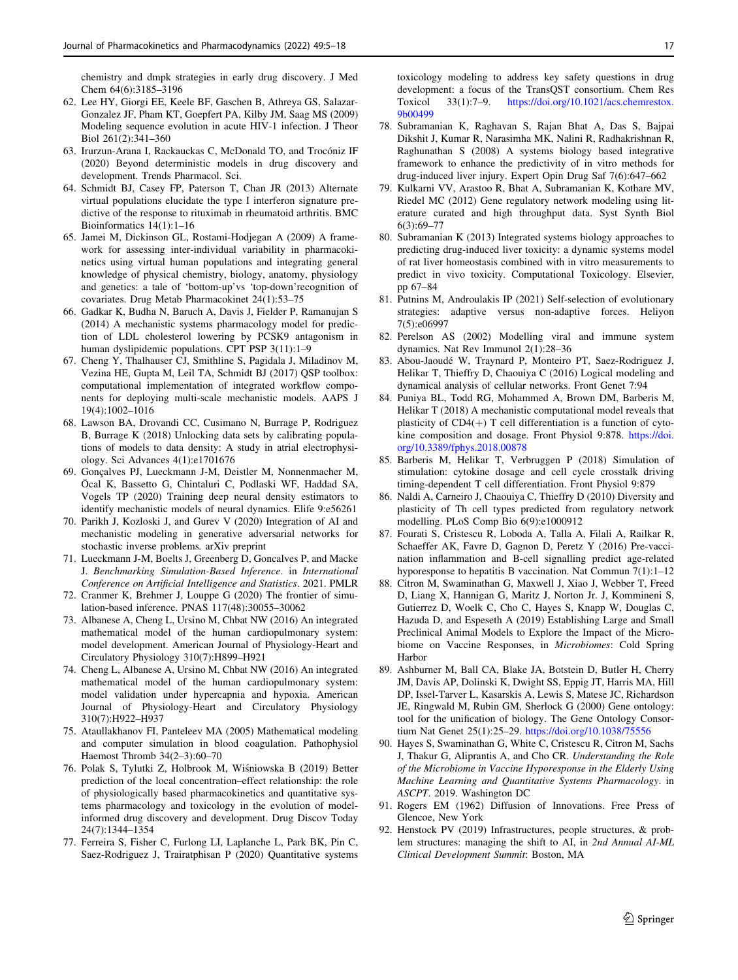<span id="page-12-0"></span>chemistry and dmpk strategies in early drug discovery. J Med Chem 64(6):3185–3196

- 62. Lee HY, Giorgi EE, Keele BF, Gaschen B, Athreya GS, Salazar-Gonzalez JF, Pham KT, Goepfert PA, Kilby JM, Saag MS (2009) Modeling sequence evolution in acute HIV-1 infection. J Theor Biol 261(2):341–360
- 63. Irurzun-Arana I, Rackauckas C, McDonald TO, and Trocóniz IF (2020) Beyond deterministic models in drug discovery and development. Trends Pharmacol. Sci.
- 64. Schmidt BJ, Casey FP, Paterson T, Chan JR (2013) Alternate virtual populations elucidate the type I interferon signature predictive of the response to rituximab in rheumatoid arthritis. BMC Bioinformatics 14(1):1–16
- 65. Jamei M, Dickinson GL, Rostami-Hodjegan A (2009) A framework for assessing inter-individual variability in pharmacokinetics using virtual human populations and integrating general knowledge of physical chemistry, biology, anatomy, physiology and genetics: a tale of 'bottom-up'vs 'top-down'recognition of covariates. Drug Metab Pharmacokinet 24(1):53–75
- 66. Gadkar K, Budha N, Baruch A, Davis J, Fielder P, Ramanujan S (2014) A mechanistic systems pharmacology model for prediction of LDL cholesterol lowering by PCSK9 antagonism in human dyslipidemic populations. CPT PSP 3(11):1–9
- 67. Cheng Y, Thalhauser CJ, Smithline S, Pagidala J, Miladinov M, Vezina HE, Gupta M, Leil TA, Schmidt BJ (2017) QSP toolbox: computational implementation of integrated workflow components for deploying multi-scale mechanistic models. AAPS J 19(4):1002–1016
- 68. Lawson BA, Drovandi CC, Cusimano N, Burrage P, Rodriguez B, Burrage K (2018) Unlocking data sets by calibrating populations of models to data density: A study in atrial electrophysiology. Sci Advances 4(1):e1701676
- 69. Gonçalves PJ, Lueckmann J-M, Deistler M, Nonnenmacher M, Öcal K, Bassetto G, Chintaluri C, Podlaski WF, Haddad SA, Vogels TP (2020) Training deep neural density estimators to identify mechanistic models of neural dynamics. Elife 9:e56261
- 70. Parikh J, Kozloski J, and Gurev V (2020) Integration of AI and mechanistic modeling in generative adversarial networks for stochastic inverse problems. arXiv preprint
- 71. Lueckmann J-M, Boelts J, Greenberg D, Goncalves P, and Macke J. Benchmarking Simulation-Based Inference. in International Conference on Artificial Intelligence and Statistics. 2021. PMLR
- 72. Cranmer K, Brehmer J, Louppe G (2020) The frontier of simulation-based inference. PNAS 117(48):30055–30062
- 73. Albanese A, Cheng L, Ursino M, Chbat NW (2016) An integrated mathematical model of the human cardiopulmonary system: model development. American Journal of Physiology-Heart and Circulatory Physiology 310(7):H899–H921
- 74. Cheng L, Albanese A, Ursino M, Chbat NW (2016) An integrated mathematical model of the human cardiopulmonary system: model validation under hypercapnia and hypoxia. American Journal of Physiology-Heart and Circulatory Physiology 310(7):H922–H937
- 75. Ataullakhanov FI, Panteleev MA (2005) Mathematical modeling and computer simulation in blood coagulation. Pathophysiol Haemost Thromb 34(2–3):60–70
- 76. Polak S, Tylutki Z, Holbrook M, Wiśniowska B (2019) Better prediction of the local concentration–effect relationship: the role of physiologically based pharmacokinetics and quantitative systems pharmacology and toxicology in the evolution of modelinformed drug discovery and development. Drug Discov Today 24(7):1344–1354
- 77. Ferreira S, Fisher C, Furlong LI, Laplanche L, Park BK, Pin C, Saez-Rodriguez J, Trairatphisan P (2020) Quantitative systems

toxicology modeling to address key safety questions in drug development: a focus of the TransQST consortium. Chem Res Toxicol 33(1):7–9. [https://doi.org/10.1021/acs.chemrestox.](https://doi.org/10.1021/acs.chemrestox.9b00499) [9b00499](https://doi.org/10.1021/acs.chemrestox.9b00499)

- 78. Subramanian K, Raghavan S, Rajan Bhat A, Das S, Bajpai Dikshit J, Kumar R, Narasimha MK, Nalini R, Radhakrishnan R, Raghunathan S (2008) A systems biology based integrative framework to enhance the predictivity of in vitro methods for drug-induced liver injury. Expert Opin Drug Saf 7(6):647–662
- 79. Kulkarni VV, Arastoo R, Bhat A, Subramanian K, Kothare MV, Riedel MC (2012) Gene regulatory network modeling using literature curated and high throughput data. Syst Synth Biol 6(3):69–77
- 80. Subramanian K (2013) Integrated systems biology approaches to predicting drug-induced liver toxicity: a dynamic systems model of rat liver homeostasis combined with in vitro measurements to predict in vivo toxicity. Computational Toxicology. Elsevier, pp 67–84
- 81. Putnins M, Androulakis IP (2021) Self-selection of evolutionary strategies: adaptive versus non-adaptive forces. Heliyon 7(5):e06997
- 82. Perelson AS (2002) Modelling viral and immune system dynamics. Nat Rev Immunol 2(1):28–36
- 83. Abou-Jaoude´ W, Traynard P, Monteiro PT, Saez-Rodriguez J, Helikar T, Thieffry D, Chaouiya C (2016) Logical modeling and dynamical analysis of cellular networks. Front Genet 7:94
- 84. Puniya BL, Todd RG, Mohammed A, Brown DM, Barberis M, Helikar T (2018) A mechanistic computational model reveals that plasticity of  $CD4(+)$  T cell differentiation is a function of cytokine composition and dosage. Front Physiol 9:878. [https://doi.](https://doi.org/10.3389/fphys.2018.00878) [org/10.3389/fphys.2018.00878](https://doi.org/10.3389/fphys.2018.00878)
- 85. Barberis M, Helikar T, Verbruggen P (2018) Simulation of stimulation: cytokine dosage and cell cycle crosstalk driving timing-dependent T cell differentiation. Front Physiol 9:879
- 86. Naldi A, Carneiro J, Chaouiya C, Thieffry D (2010) Diversity and plasticity of Th cell types predicted from regulatory network modelling. PLoS Comp Bio 6(9):e1000912
- 87. Fourati S, Cristescu R, Loboda A, Talla A, Filali A, Railkar R, Schaeffer AK, Favre D, Gagnon D, Peretz Y (2016) Pre-vaccination inflammation and B-cell signalling predict age-related hyporesponse to hepatitis B vaccination. Nat Commun 7(1):1–12
- 88. Citron M, Swaminathan G, Maxwell J, Xiao J, Webber T, Freed D, Liang X, Hannigan G, Maritz J, Norton Jr. J, Kommineni S, Gutierrez D, Woelk C, Cho C, Hayes S, Knapp W, Douglas C, Hazuda D, and Espeseth A (2019) Establishing Large and Small Preclinical Animal Models to Explore the Impact of the Microbiome on Vaccine Responses, in Microbiomes: Cold Spring Harbor
- 89. Ashburner M, Ball CA, Blake JA, Botstein D, Butler H, Cherry JM, Davis AP, Dolinski K, Dwight SS, Eppig JT, Harris MA, Hill DP, Issel-Tarver L, Kasarskis A, Lewis S, Matese JC, Richardson JE, Ringwald M, Rubin GM, Sherlock G (2000) Gene ontology: tool for the unification of biology. The Gene Ontology Consortium Nat Genet 25(1):25–29. <https://doi.org/10.1038/75556>
- 90. Hayes S, Swaminathan G, White C, Cristescu R, Citron M, Sachs J, Thakur G, Aliprantis A, and Cho CR. Understanding the Role of the Microbiome in Vaccine Hyporesponse in the Elderly Using Machine Learning and Quantitative Systems Pharmacology. in ASCPT. 2019. Washington DC
- 91. Rogers EM (1962) Diffusion of Innovations. Free Press of Glencoe, New York
- 92. Henstock PV (2019) Infrastructures, people structures, & problem structures: managing the shift to AI, in 2nd Annual AI-ML Clinical Development Summit: Boston, MA